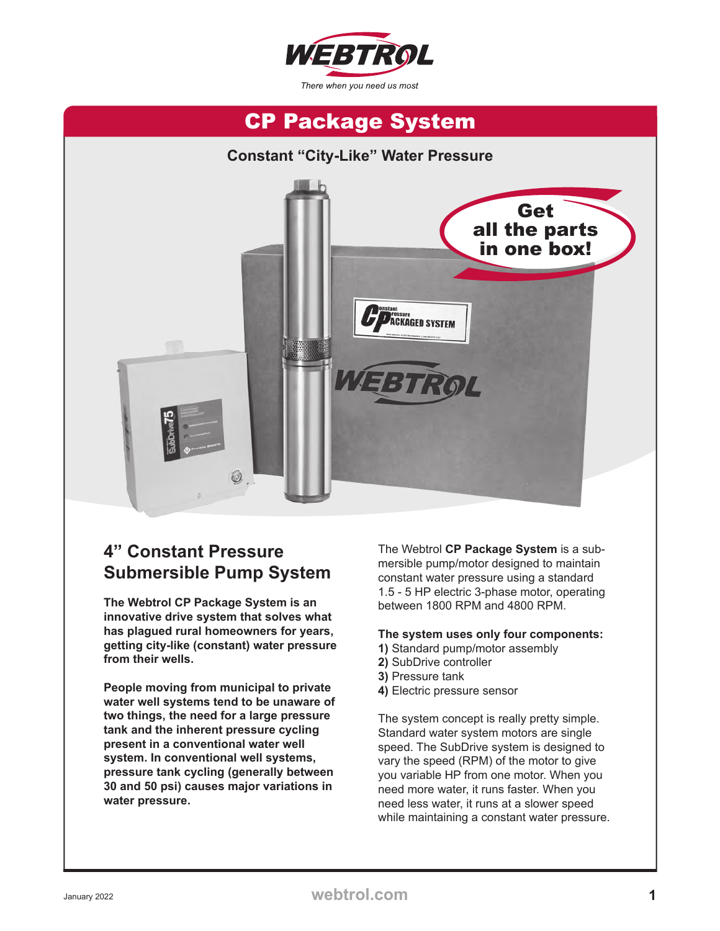



#### **4" Constant Pressure Submersible Pump System**

**The Webtrol CP Package System is an innovative drive system that solves what has plagued rural homeowners for years, getting city-like (constant) water pressure from their wells.** 

**People moving from municipal to private water well systems tend to be unaware of two things, the need for a large pressure tank and the inherent pressure cycling present in a conventional water well system. In conventional well systems, pressure tank cycling (generally between 30 and 50 psi) causes major variations in water pressure.** 

The Webtrol **CP Package System** is a submersible pump/motor designed to maintain constant water pressure using a standard 1.5 - 5 HP electric 3-phase motor, operating between 1800 RPM and 4800 RPM.

#### **The system uses only four components:**

- **1)** Standard pump/motor assembly
- **2)** SubDrive controller
- **3)** Pressure tank
- **4)** Electric pressure sensor

The system concept is really pretty simple. Standard water system motors are single speed. The SubDrive system is designed to vary the speed (RPM) of the motor to give you variable HP from one motor. When you need more water, it runs faster. When you need less water, it runs at a slower speed while maintaining a constant water pressure.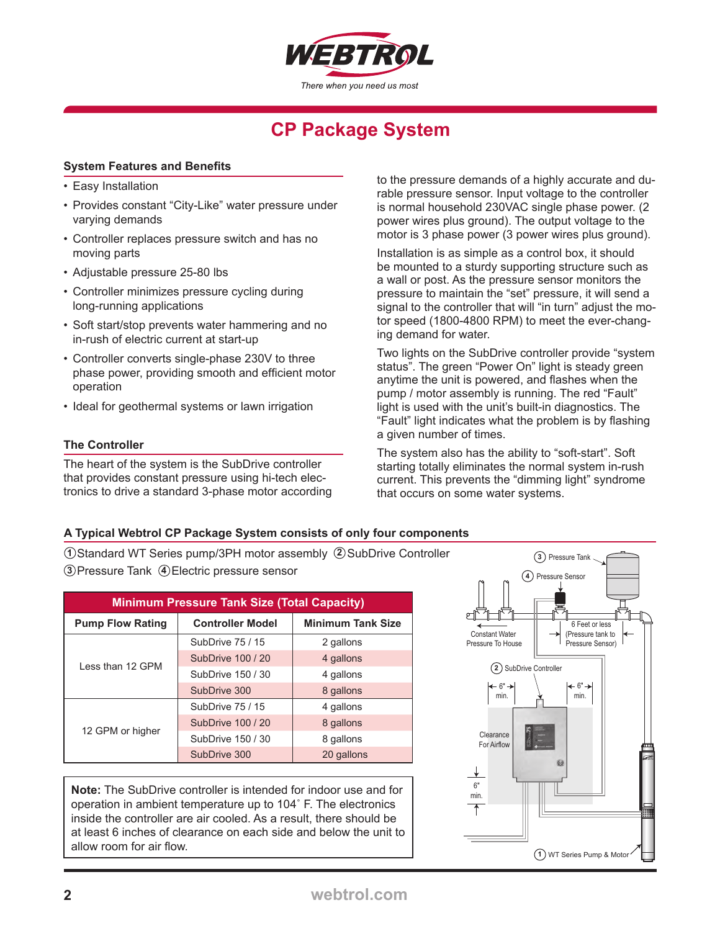

#### **System Features and Benefits**

- Easy Installation
- Provides constant "City-Like" water pressure under varying demands
- Controller replaces pressure switch and has no moving parts
- Adjustable pressure 25-80 lbs
- Controller minimizes pressure cycling during long-running applications
- Soft start/stop prevents water hammering and no in-rush of electric current at start-up
- Controller converts single-phase 230V to three phase power, providing smooth and efficient motor operation
- Ideal for geothermal systems or lawn irrigation

#### **The Controller**

The heart of the system is the SubDrive controller that provides constant pressure using hi-tech electronics to drive a standard 3-phase motor according to the pressure demands of a highly accurate and durable pressure sensor. Input voltage to the controller is normal household 230VAC single phase power. (2 power wires plus ground). The output voltage to the motor is 3 phase power (3 power wires plus ground).

Installation is as simple as a control box, it should be mounted to a sturdy supporting structure such as a wall or post. As the pressure sensor monitors the pressure to maintain the "set" pressure, it will send a signal to the controller that will "in turn" adjust the motor speed (1800-4800 RPM) to meet the ever-changing demand for water.

Two lights on the SubDrive controller provide "system status". The green "Power On" light is steady green anytime the unit is powered, and flashes when the pump / motor assembly is running. The red "Fault" light is used with the unit's built-in diagnostics. The "Fault" light indicates what the problem is by flashing a given number of times.

The system also has the ability to "soft-start". Soft starting totally eliminates the normal system in-rush current. This prevents the "dimming light" syndrome that occurs on some water systems.

#### **A Typical Webtrol CP Package System consists of only four components**

**1** Ostandard WT Series pump/3PH motor assembly (2) SubDrive Controller **3**) Pressure Tank (4) Electric pressure sensor

| <b>Minimum Pressure Tank Size (Total Capacity)</b> |                         |                          |
|----------------------------------------------------|-------------------------|--------------------------|
| <b>Pump Flow Rating</b>                            | <b>Controller Model</b> | <b>Minimum Tank Size</b> |
| Less than 12 GPM                                   | SubDrive 75 / 15        | 2 gallons                |
|                                                    | SubDrive 100 / 20       | 4 gallons                |
|                                                    | SubDrive 150 / 30       | 4 gallons                |
|                                                    | SubDrive 300            | 8 gallons                |
| 12 GPM or higher                                   | SubDrive 75 / 15        | 4 gallons                |
|                                                    | SubDrive 100 / 20       | 8 gallons                |
|                                                    | SubDrive 150 / 30       | 8 gallons                |
|                                                    | SubDrive 300            | 20 gallons               |

**Note:** The SubDrive controller is intended for indoor use and for operation in ambient temperature up to 104˚ F. The electronics inside the controller are air cooled. As a result, there should be at least 6 inches of clearance on each side and below the unit to allow room for air flow.

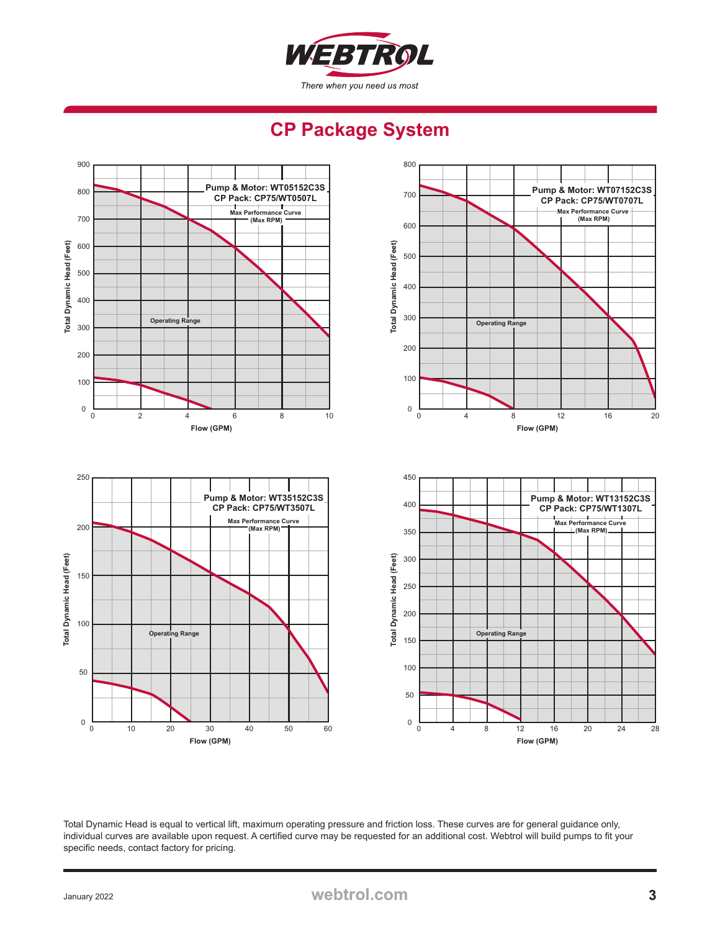

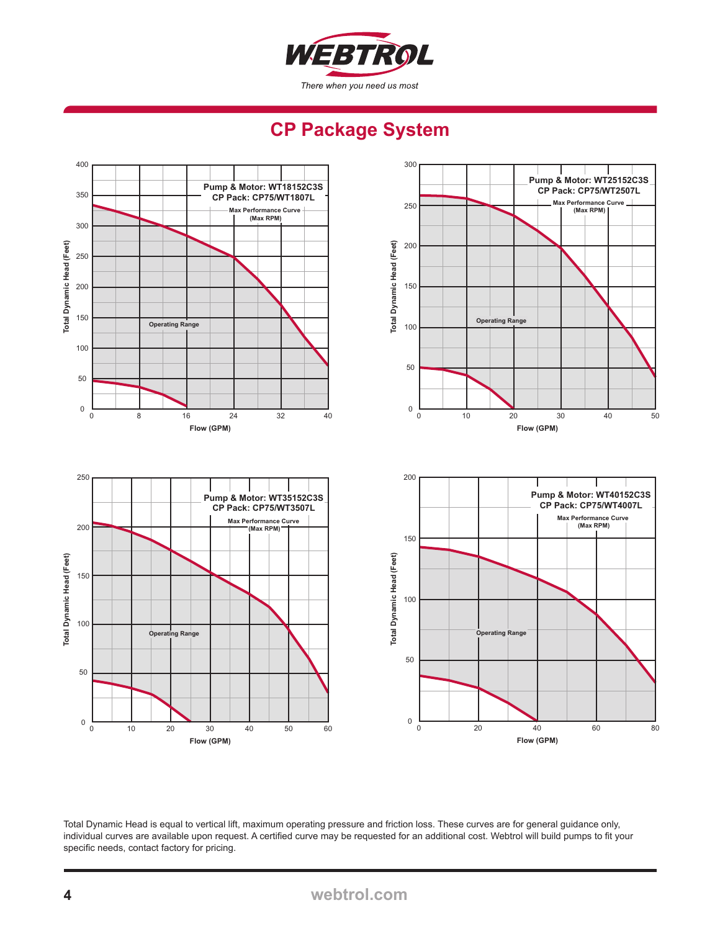

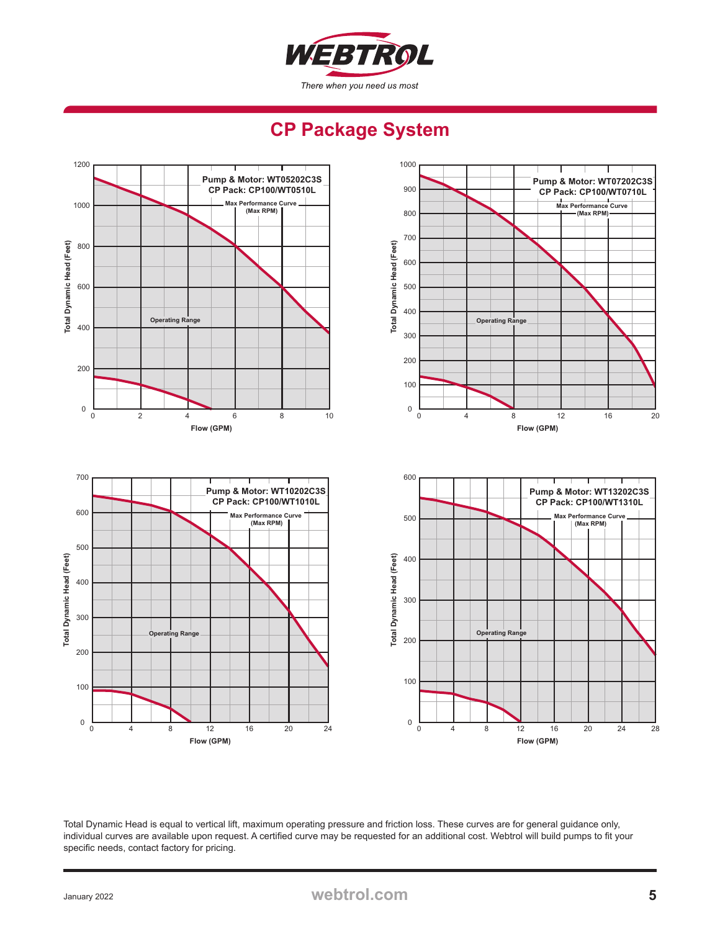

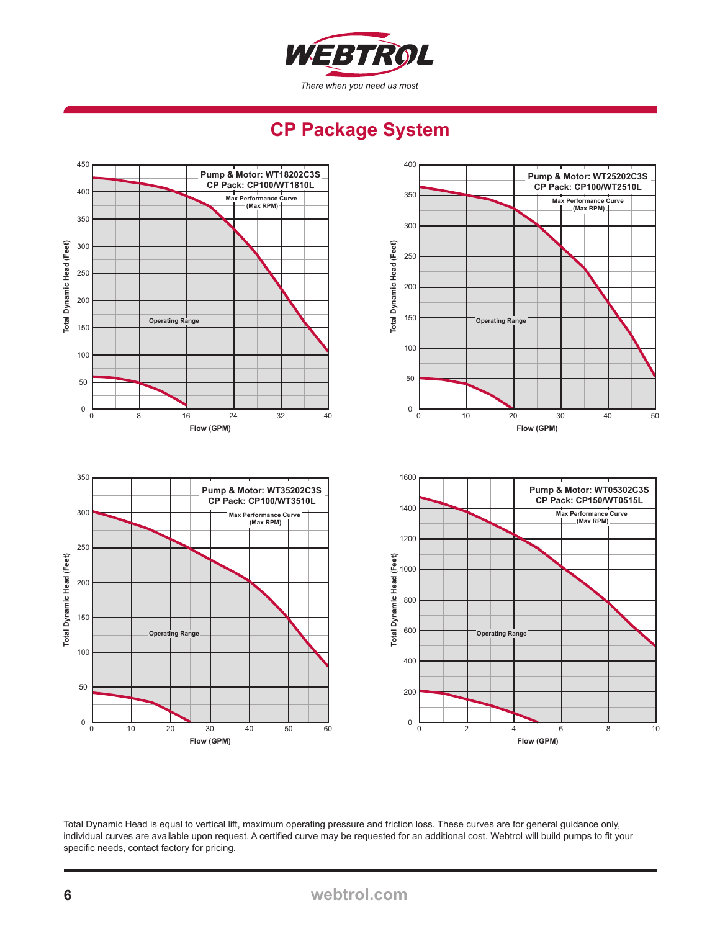

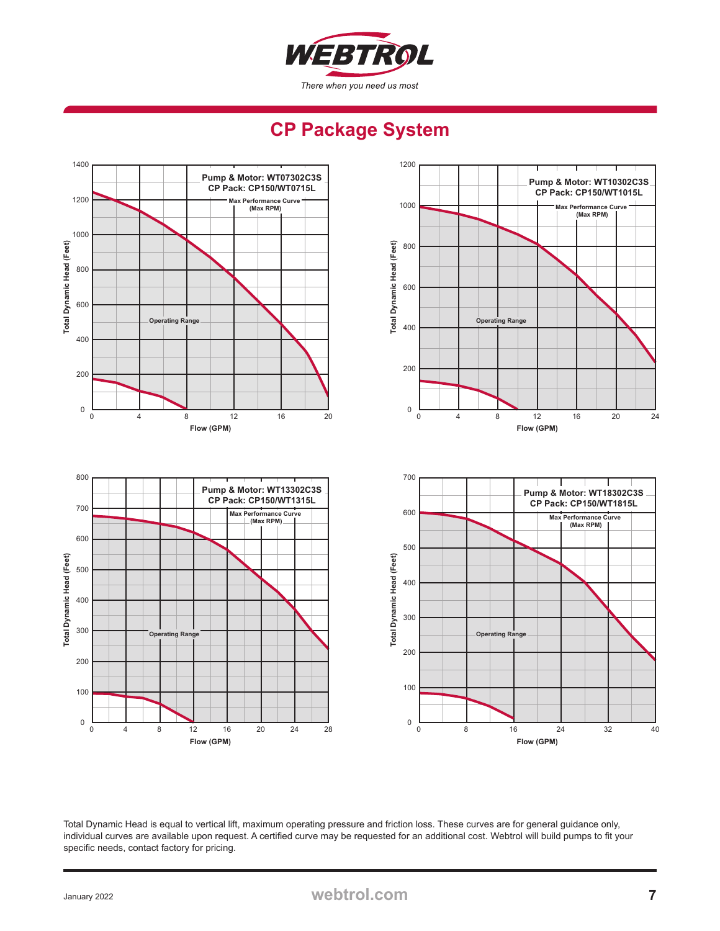

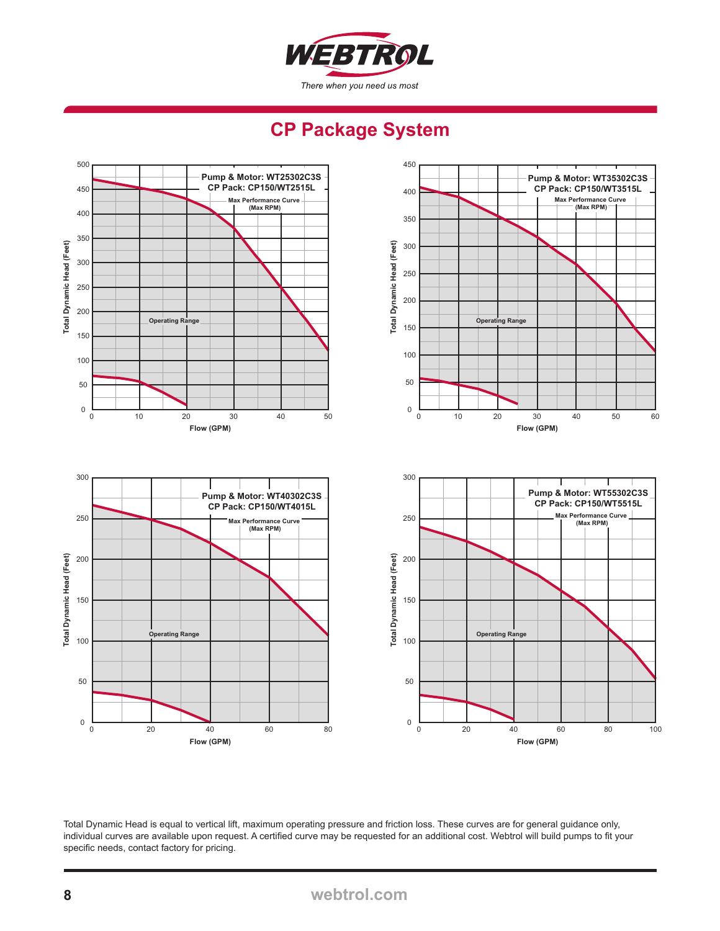

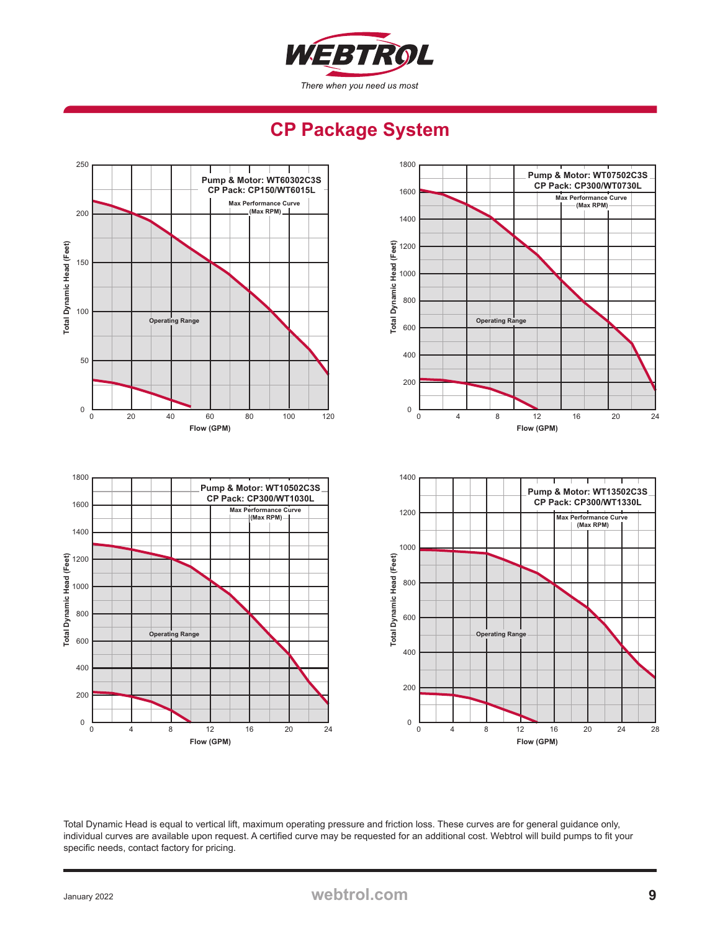

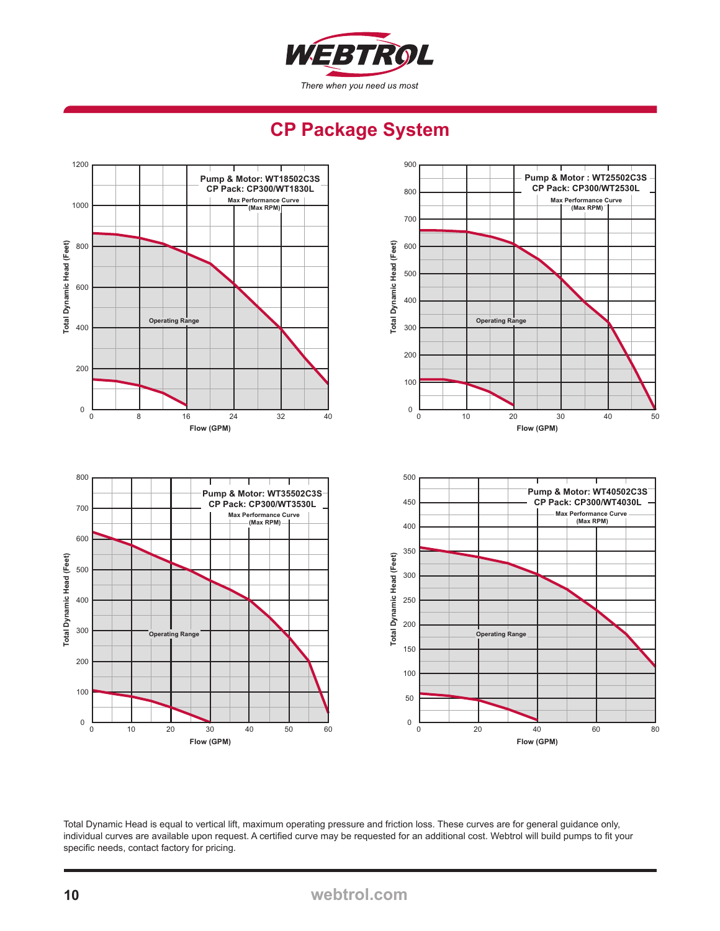

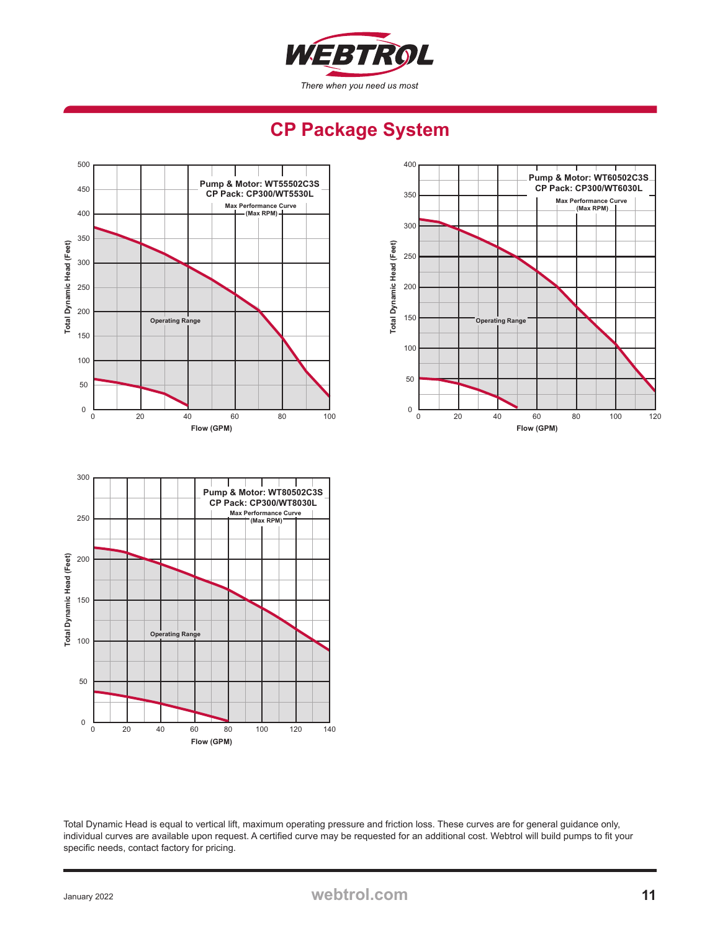